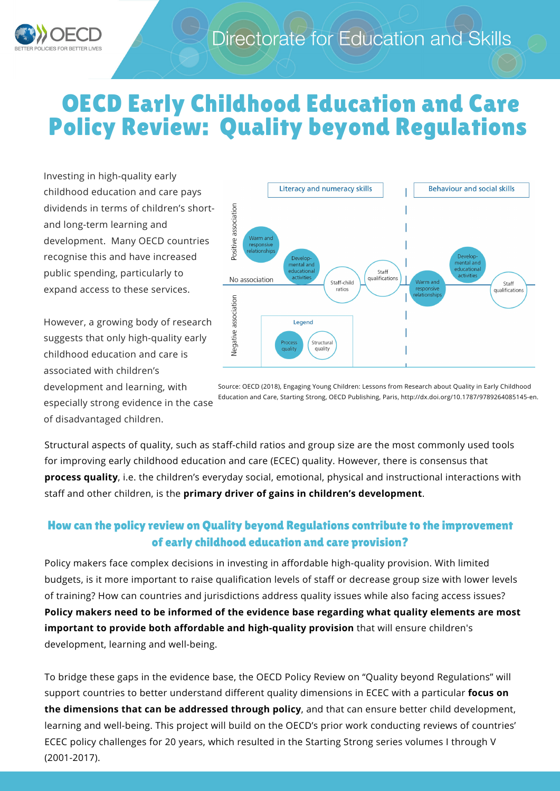

## OECD Early Childhood Education and Care Policy Review: Quality beyond Regulations

Investing in high-quality early childhood education and care pays dividends in terms of children's shortand long-term learning and development. Many OECD countries recognise this and have increased public spending, particularly to expand access to these services.

However, a growing body of research suggests that only high-quality early childhood education and care is associated with children's development and learning, with especially strong evidence in the case of disadvantaged children.



Source: OECD (2018), Engaging Young Children: Lessons from Research about Quality in Early Childhood Education and Care, Starting Strong, OECD Publishing, Paris, http://dx.doi.org/10.1787/9789264085145-en.

Structural aspects of quality, such as staff-child ratios and group size are the most commonly used tools for improving early childhood education and care (ECEC) quality. However, there is consensus that **process quality**, i.e. the children's everyday social, emotional, physical and instructional interactions with staff and other children, is the **primary driver of gains in children's development**.

## How can the policy review on Quality beyond Regulations contribute to the improvement of early childhood education and care provision?

Policy makers face complex decisions in investing in affordable high-quality provision. With limited budgets, is it more important to raise qualification levels of staff or decrease group size with lower levels of training? How can countries and jurisdictions address quality issues while also facing access issues? **Policy makers need to be informed of the evidence base regarding what quality elements are most important to provide both affordable and high-quality provision** that will ensure children's development, learning and well-being.

To bridge these gaps in the evidence base, the OECD Policy Review on "Quality beyond Regulations" will support countries to better understand different quality dimensions in ECEC with a particular **focus on the dimensions that can be addressed through policy**, and that can ensure better child development, learning and well-being. This project will build on the OECD's prior work conducting reviews of countries' ECEC policy challenges for 20 years, which resulted in the Starting Strong series volumes I through V (2001-2017).